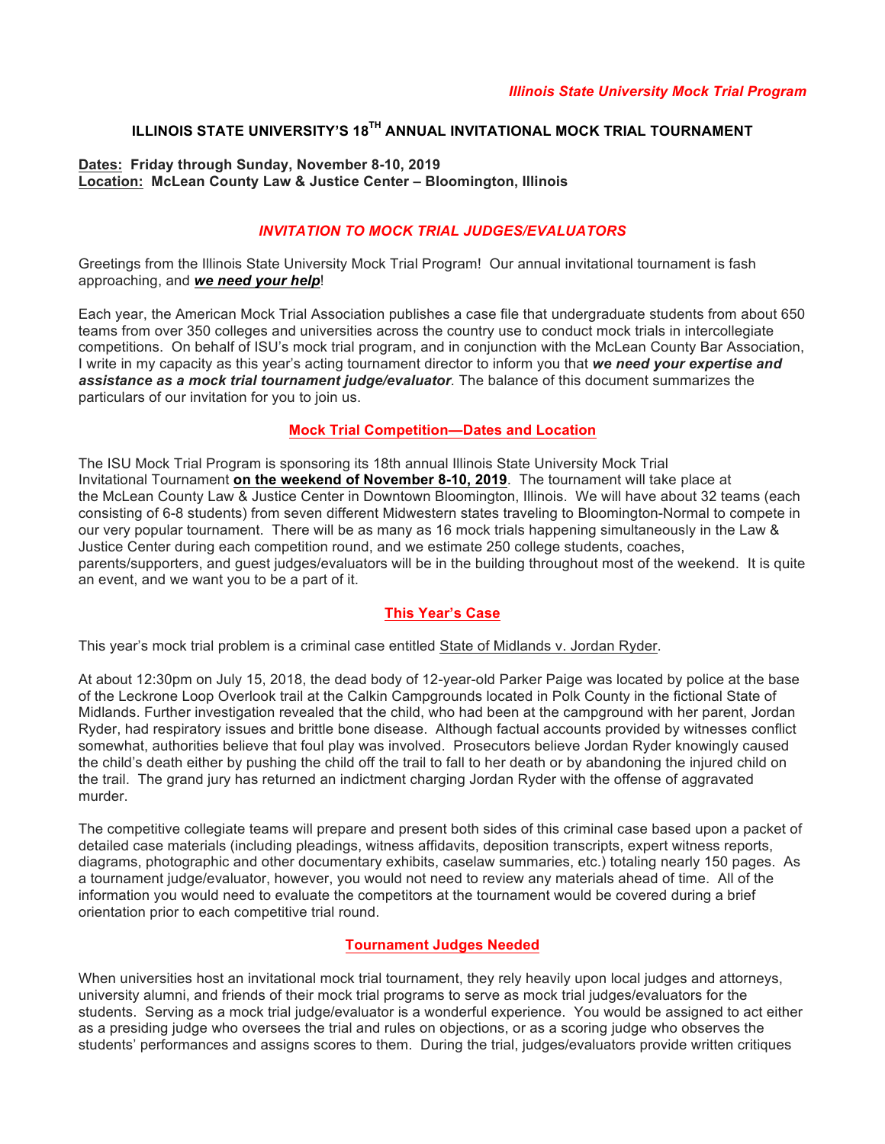# **ILLINOIS STATE UNIVERSITY'S 18TH ANNUAL INVITATIONAL MOCK TRIAL TOURNAMENT**

#### **Dates: Friday through Sunday, November 8-10, 2019 Location: McLean County Law & Justice Center – Bloomington, Illinois**

## *INVITATION TO MOCK TRIAL JUDGES/EVALUATORS*

Greetings from the Illinois State University Mock Trial Program! Our annual invitational tournament is fash approaching, and *we need your help*!

Each year, the American Mock Trial Association publishes a case file that undergraduate students from about 650 teams from over 350 colleges and universities across the country use to conduct mock trials in intercollegiate competitions. On behalf of ISU's mock trial program, and in conjunction with the McLean County Bar Association, I write in my capacity as this year's acting tournament director to inform you that *we need your expertise and assistance as a mock trial tournament judge/evaluator.* The balance of this document summarizes the particulars of our invitation for you to join us.

#### **Mock Trial Competition—Dates and Location**

The ISU Mock Trial Program is sponsoring its 18th annual Illinois State University Mock Trial Invitational Tournament **on the weekend of November 8-10, 2019**. The tournament will take place at the McLean County Law & Justice Center in Downtown Bloomington, Illinois. We will have about 32 teams (each consisting of 6-8 students) from seven different Midwestern states traveling to Bloomington-Normal to compete in our very popular tournament. There will be as many as 16 mock trials happening simultaneously in the Law & Justice Center during each competition round, and we estimate 250 college students, coaches, parents/supporters, and guest judges/evaluators will be in the building throughout most of the weekend. It is quite an event, and we want you to be a part of it.

## **This Year's Case**

This year's mock trial problem is a criminal case entitled State of Midlands v. Jordan Ryder.

At about 12:30pm on July 15, 2018, the dead body of 12-year-old Parker Paige was located by police at the base of the Leckrone Loop Overlook trail at the Calkin Campgrounds located in Polk County in the fictional State of Midlands. Further investigation revealed that the child, who had been at the campground with her parent, Jordan Ryder, had respiratory issues and brittle bone disease. Although factual accounts provided by witnesses conflict somewhat, authorities believe that foul play was involved. Prosecutors believe Jordan Ryder knowingly caused the child's death either by pushing the child off the trail to fall to her death or by abandoning the injured child on the trail. The grand jury has returned an indictment charging Jordan Ryder with the offense of aggravated murder.

The competitive collegiate teams will prepare and present both sides of this criminal case based upon a packet of detailed case materials (including pleadings, witness affidavits, deposition transcripts, expert witness reports, diagrams, photographic and other documentary exhibits, caselaw summaries, etc.) totaling nearly 150 pages. As a tournament judge/evaluator, however, you would not need to review any materials ahead of time. All of the information you would need to evaluate the competitors at the tournament would be covered during a brief orientation prior to each competitive trial round.

## **Tournament Judges Needed**

When universities host an invitational mock trial tournament, they rely heavily upon local judges and attorneys, university alumni, and friends of their mock trial programs to serve as mock trial judges/evaluators for the students. Serving as a mock trial judge/evaluator is a wonderful experience. You would be assigned to act either as a presiding judge who oversees the trial and rules on objections, or as a scoring judge who observes the students' performances and assigns scores to them. During the trial, judges/evaluators provide written critiques